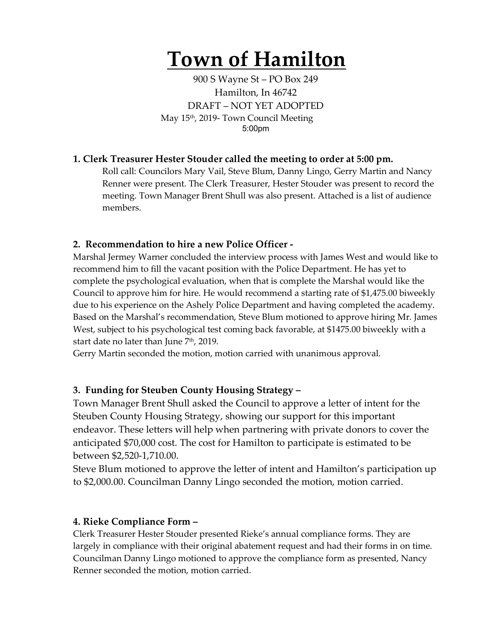# **Town of Hamilton**

900 S Wayne St – PO Box 249 Hamilton, In 46742 DRAFT – NOT YET ADOPTED May 15th, 2019- Town Council Meeting 5:00pm

### **1. Clerk Treasurer Hester Stouder called the meeting to order at 5:00 pm.**

Roll call: Councilors Mary Vail, Steve Blum, Danny Lingo, Gerry Martin and Nancy Renner were present. The Clerk Treasurer, Hester Stouder was present to record the meeting. Town Manager Brent Shull was also present. Attached is a list of audience members.

#### **2. Recommendation to hire a new Police Officer -**

Marshal Jermey Warner concluded the interview process with James West and would like to recommend him to fill the vacant position with the Police Department. He has yet to complete the psychological evaluation, when that is complete the Marshal would like the Council to approve him for hire. He would recommend a starting rate of \$1,475.00 biweekly due to his experience on the Ashely Police Department and having completed the academy. Based on the Marshal's recommendation, Steve Blum motioned to approve hiring Mr. James West, subject to his psychological test coming back favorable, at \$1475.00 biweekly with a start date no later than June  $7<sup>th</sup>$ , 2019.

Gerry Martin seconded the motion, motion carried with unanimous approval.

#### **3. Funding for Steuben County Housing Strategy –**

Town Manager Brent Shull asked the Council to approve a letter of intent for the Steuben County Housing Strategy, showing our support for this important endeavor. These letters will help when partnering with private donors to cover the anticipated \$70,000 cost. The cost for Hamilton to participate is estimated to be between \$2,520-1,710.00.

Steve Blum motioned to approve the letter of intent and Hamilton's participation up to \$2,000.00. Councilman Danny Lingo seconded the motion, motion carried.

#### **4. Rieke Compliance Form –**

Clerk Treasurer Hester Stouder presented Rieke's annual compliance forms. They are largely in compliance with their original abatement request and had their forms in on time. Councilman Danny Lingo motioned to approve the compliance form as presented, Nancy Renner seconded the motion, motion carried.